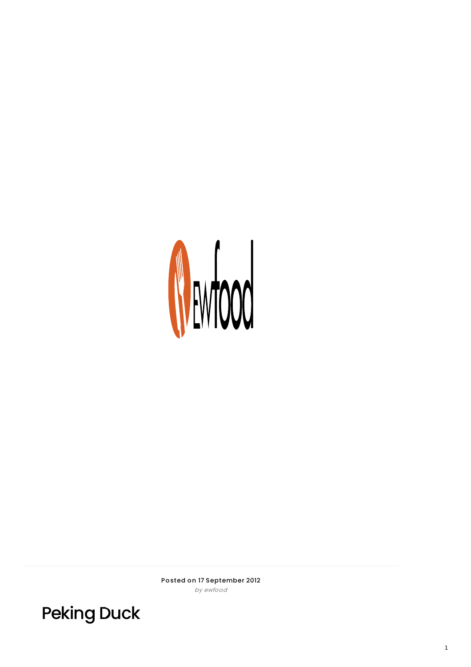

Posted on 17 September 2012 by ewfood

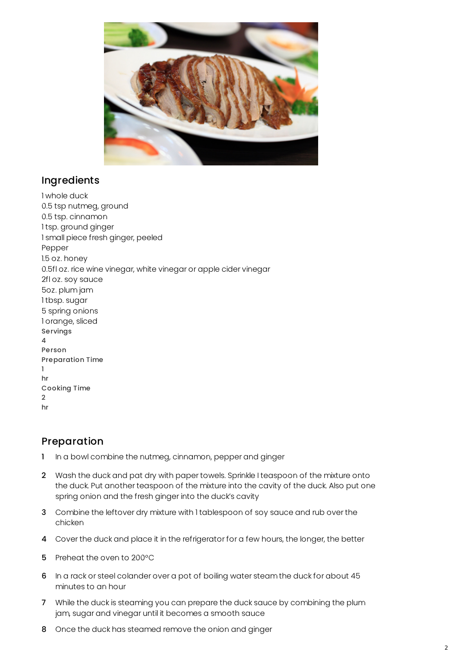

## Ingredients

1 whole duck 0.5 tsp nutmeg, ground 0.5 tsp. cinnamon 1 tsp. ground ginger 1 small piece fresh ginger, peeled Pepper 1.5 oz. honey 0.5fl oz. rice wine vinegar, white vinegar or apple cider vinegar 2fl oz. soy sauce 5oz. plum jam 1 tbsp. sugar 5 spring onions 1 orange, sliced Servings 4 Person Preparation Time 1 hr Cooking Time 2 hr

## Preparation

- 1 In a bowl combine the nutmeg, cinnamon, pepper and ginger
- 2 Wash the duck and pat dry with paper towels. Sprinkle I teaspoon of the mixture onto the duck. Put another teaspoon of the mixture into the cavity of the duck. Also put one spring onion and the fresh ginger into the duck's cavity
- 3 Combine the leftover dry mixture with 1 tablespoon of soy sauce and rub over the chicken
- 4 Cover the duck and place it in the refrigerator for a few hours, the longer, the better
- 5 Preheat the oven to 200°C
- 6 In a rack or steel colander over a pot of boiling water steam the duck for about 45 minutes to an hour
- 7 While the duck is steaming you can prepare the duck sauce by combining the plum jam, sugar and vinegar until it becomes a smooth sauce
- 8 Once the duck has steamed remove the onion and ginger